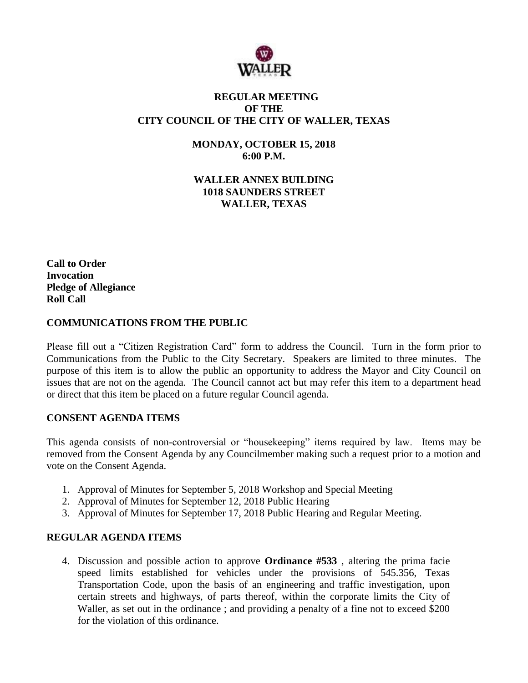

# **REGULAR MEETING OF THE CITY COUNCIL OF THE CITY OF WALLER, TEXAS**

**MONDAY, OCTOBER 15, 2018 6:00 P.M.**

**WALLER ANNEX BUILDING 1018 SAUNDERS STREET WALLER, TEXAS**

**Call to Order Invocation Pledge of Allegiance Roll Call**

# **COMMUNICATIONS FROM THE PUBLIC**

Please fill out a "Citizen Registration Card" form to address the Council. Turn in the form prior to Communications from the Public to the City Secretary. Speakers are limited to three minutes. The purpose of this item is to allow the public an opportunity to address the Mayor and City Council on issues that are not on the agenda. The Council cannot act but may refer this item to a department head or direct that this item be placed on a future regular Council agenda.

### **CONSENT AGENDA ITEMS**

This agenda consists of non-controversial or "housekeeping" items required by law. Items may be removed from the Consent Agenda by any Councilmember making such a request prior to a motion and vote on the Consent Agenda.

- 1. Approval of Minutes for September 5, 2018 Workshop and Special Meeting
- 2. Approval of Minutes for September 12, 2018 Public Hearing
- 3. Approval of Minutes for September 17, 2018 Public Hearing and Regular Meeting.

### **REGULAR AGENDA ITEMS**

4. Discussion and possible action to approve **Ordinance #533** , altering the prima facie speed limits established for vehicles under the provisions of 545.356, Texas Transportation Code, upon the basis of an engineering and traffic investigation, upon certain streets and highways, of parts thereof, within the corporate limits the City of Waller, as set out in the ordinance ; and providing a penalty of a fine not to exceed \$200 for the violation of this ordinance.